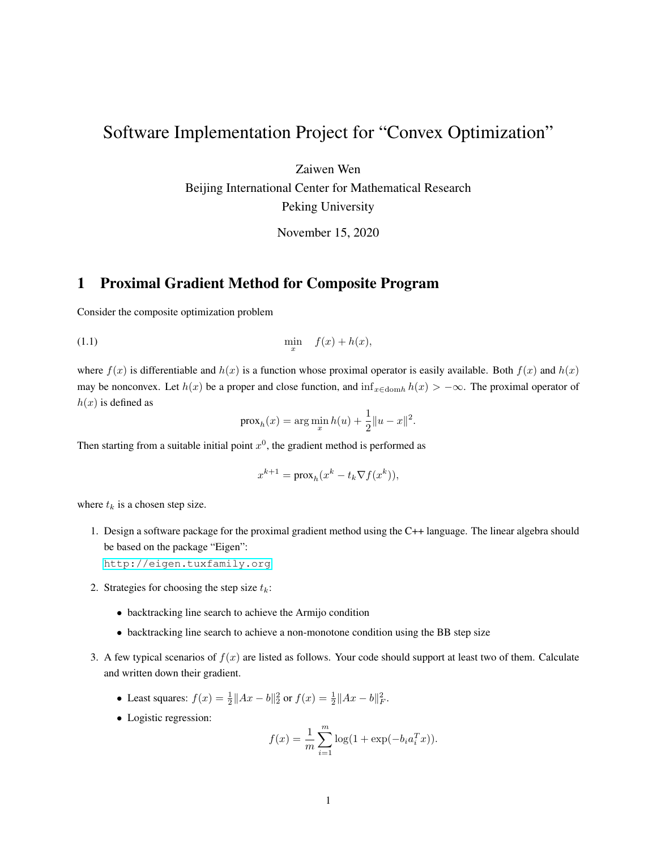## Software Implementation Project for "Convex Optimization"

Zaiwen Wen

Beijing International Center for Mathematical Research Peking University

November 15, 2020

## 1 Proximal Gradient Method for Composite Program

Consider the composite optimization problem

 $(1.1)$  min  $\lim_{x}$   $f(x) + h(x),$ 

where  $f(x)$  is differentiable and  $h(x)$  is a function whose proximal operator is easily available. Both  $f(x)$  and  $h(x)$ may be nonconvex. Let  $h(x)$  be a proper and close function, and  $\inf_{x \in \text{dom}h} h(x) > -\infty$ . The proximal operator of  $h(x)$  is defined as

$$
\text{prox}_{h}(x) = \arg\min_{x} h(u) + \frac{1}{2} ||u - x||^{2}.
$$

Then starting from a suitable initial point  $x^0$ , the gradient method is performed as

$$
x^{k+1} = \text{prox}_{h}(x^k - t_k \nabla f(x^k)),
$$

where  $t_k$  is a chosen step size.

1. Design a software package for the proximal gradient method using the C++ language. The linear algebra should be based on the package "Eigen":

<http://eigen.tuxfamily.org>

- 2. Strategies for choosing the step size  $t_k$ :
	- backtracking line search to achieve the Armijo condition
	- backtracking line search to achieve a non-monotone condition using the BB step size
- 3. A few typical scenarios of  $f(x)$  are listed as follows. Your code should support at least two of them. Calculate and written down their gradient.
	- Least squares:  $f(x) = \frac{1}{2} ||Ax b||_2^2$  or  $f(x) = \frac{1}{2} ||Ax b||_F^2$ .
	- Logistic regression:

$$
f(x) = \frac{1}{m} \sum_{i=1}^{m} \log(1 + \exp(-b_i a_i^T x)).
$$